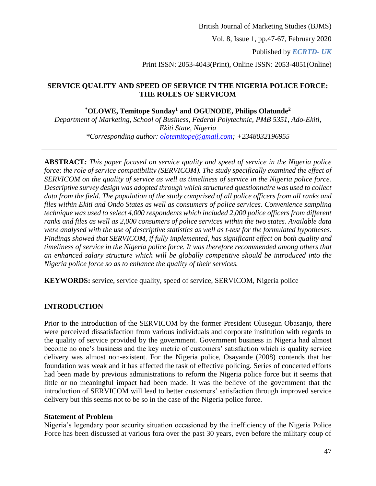Vol. 8, Issue 1, pp.47-67, February 2020

Published by *ECRTD- UK* 

Print ISSN: 2053-4043(Print), Online ISSN: 2053-4051(Online)

# **SERVICE QUALITY AND SPEED OF SERVICE IN THE NIGERIA POLICE FORCE: THE ROLES OF SERVICOM**

# **\*OLOWE, Temitope Sunday<sup>1</sup> and OGUNODE, Philips Olatunde<sup>2</sup>**

*Department of Marketing, School of Business, Federal Polytechnic, PMB 5351, Ado-Ekiti, Ekiti State, Nigeria \*Corresponding author: [olotemitope@gmail.com;](mailto:olotemitope@gmail.com) +2348032196955*

**ABSTRACT***: This paper focused on service quality and speed of service in the Nigeria police force: the role of service compatibility (SERVICOM). The study specifically examined the effect of SERVICOM on the quality of service as well as timeliness of service in the Nigeria police force. Descriptive survey design was adopted through which structured questionnaire was used to collect data from the field. The population of the study comprised of all police officers from all ranks and files within Ekiti and Ondo States as well as consumers of police services. Convenience sampling technique was used to select 4,000 respondents which included 2,000 police officers from different ranks and files as well as 2,000 consumers of police services within the two states. Available data were analysed with the use of descriptive statistics as well as t-test for the formulated hypotheses. Findings showed that SERVICOM, if fully implemented, has significant effect on both quality and timeliness of service in the Nigeria police force. It was therefore recommended among others that an enhanced salary structure which will be globally competitive should be introduced into the Nigeria police force so as to enhance the quality of their services.*

**KEYWORDS:** service, service quality, speed of service, SERVICOM, Nigeria police

# **INTRODUCTION**

Prior to the introduction of the SERVICOM by the former President Olusegun Obasanjo, there were perceived dissatisfaction from various individuals and corporate institution with regards to the quality of service provided by the government. Government business in Nigeria had almost become no one's business and the key metric of customers' satisfaction which is quality service delivery was almost non-existent. For the Nigeria police, Osayande (2008) contends that her foundation was weak and it has affected the task of effective policing. Series of concerted efforts had been made by previous administrations to reform the Nigeria police force but it seems that little or no meaningful impact had been made. It was the believe of the government that the introduction of SERVICOM will lead to better customers' satisfaction through improved service delivery but this seems not to be so in the case of the Nigeria police force.

## **Statement of Problem**

Nigeria's legendary poor security situation occasioned by the inefficiency of the Nigeria Police Force has been discussed at various fora over the past 30 years, even before the military coup of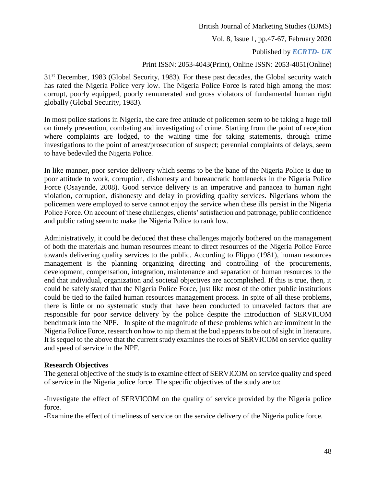Vol. 8, Issue 1, pp.47-67, February 2020

Published by *ECRTD- UK* 

## Print ISSN: 2053-4043(Print), Online ISSN: 2053-4051(Online)

31<sup>st</sup> December, 1983 (Global Security, 1983). For these past decades, the Global security watch has rated the Nigeria Police very low. The Nigeria Police Force is rated high among the most corrupt, poorly equipped, poorly remunerated and gross violators of fundamental human right globally (Global Security, 1983).

In most police stations in Nigeria, the care free attitude of policemen seem to be taking a huge toll on timely prevention, combating and investigating of crime. Starting from the point of reception where complaints are lodged, to the waiting time for taking statements, through crime investigations to the point of arrest/prosecution of suspect; perennial complaints of delays, seem to have bedeviled the Nigeria Police.

In like manner, poor service delivery which seems to be the bane of the Nigeria Police is due to poor attitude to work, corruption, dishonesty and bureaucratic bottlenecks in the Nigeria Police Force (Osayande, 2008). Good service delivery is an imperative and panacea to human right violation, corruption, dishonesty and delay in providing quality services. Nigerians whom the policemen were employed to serve cannot enjoy the service when these ills persist in the Nigeria Police Force. On account of these challenges, clients' satisfaction and patronage, public confidence and public rating seem to make the Nigeria Police to rank low.

Administratively, it could be deduced that these challenges majorly bothered on the management of both the materials and human resources meant to direct resources of the Nigeria Police Force towards delivering quality services to the public. According to Flippo (1981), human resources management is the planning organizing directing and controlling of the procurements, development, compensation, integration, maintenance and separation of human resources to the end that individual, organization and societal objectives are accomplished. If this is true, then, it could be safely stated that the Nigeria Police Force, just like most of the other public institutions could be tied to the failed human resources management process. In spite of all these problems, there is little or no systematic study that have been conducted to unraveled factors that are responsible for poor service delivery by the police despite the introduction of SERVICOM benchmark into the NPF. In spite of the magnitude of these problems which are imminent in the Nigeria Police Force, research on how to nip them at the bud appears to be out of sight in literature. It is sequel to the above that the current study examines the roles of SERVICOM on service quality and speed of service in the NPF.

## **Research Objectives**

The general objective of the study is to examine effect of SERVICOM on service quality and speed of service in the Nigeria police force. The specific objectives of the study are to:

-Investigate the effect of SERVICOM on the quality of service provided by the Nigeria police force.

-Examine the effect of timeliness of service on the service delivery of the Nigeria police force.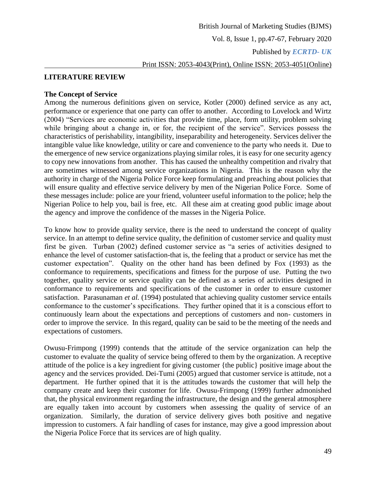Print ISSN: 2053-4043(Print), Online ISSN: 2053-4051(Online)

## **LITERATURE REVIEW**

#### **The Concept of Service**

Among the numerous definitions given on service, Kotler (2000) defined service as any act, performance or experience that one party can offer to another. According to Lovelock and Wirtz (2004) "Services are economic activities that provide time, place, form utility, problem solving while bringing about a change in, or for, the recipient of the service". Services possess the characteristics of perishability, intangibility, inseparability and heterogeneity. Services deliver the intangible value like knowledge, utility or care and convenience to the party who needs it. Due to the emergence of new service organizations playing similar roles, it is easy for one security agency to copy new innovations from another. This has caused the unhealthy competition and rivalry that are sometimes witnessed among service organizations in Nigeria. This is the reason why the authority in charge of the Nigeria Police Force keep formulating and preaching about policies that will ensure quality and effective service delivery by men of the Nigerian Police Force. Some of these messages include: police are your friend, volunteer useful information to the police; help the Nigerian Police to help you, bail is free, etc. All these aim at creating good public image about the agency and improve the confidence of the masses in the Nigeria Police.

To know how to provide quality service, there is the need to understand the concept of quality service. In an attempt to define service quality, the definition of customer service and quality must first be given. Turban (2002) defined customer service as "a series of activities designed to enhance the level of customer satisfaction-that is, the feeling that a product or service has met the customer expectation". Quality on the other hand has been defined by Fox (1993) as the conformance to requirements, specifications and fitness for the purpose of use. Putting the two together, quality service or service quality can be defined as a series of activities designed in conformance to requirements and specifications of the customer in order to ensure customer satisfaction. Parasunaman *et al.* (1994) postulated that achieving quality customer service entails conformance to the customer's specifications. They further opined that it is a conscious effort to continuously learn about the expectations and perceptions of customers and non- customers in order to improve the service. In this regard, quality can be said to be the meeting of the needs and expectations of customers.

Owusu-Frimpong (1999) contends that the attitude of the service organization can help the customer to evaluate the quality of service being offered to them by the organization. A receptive attitude of the police is a key ingredient for giving customer {the public} positive image about the agency and the services provided. Dei-Tumi (2005) argued that customer service is attitude, not a department. He further opined that it is the attitudes towards the customer that will help the company create and keep their customer for life. Owusu-Frimpong (1999) further admonished that, the physical environment regarding the infrastructure, the design and the general atmosphere are equally taken into account by customers when assessing the quality of service of an organization. Similarly, the duration of service delivery gives both positive and negative impression to customers. A fair handling of cases for instance, may give a good impression about the Nigeria Police Force that its services are of high quality.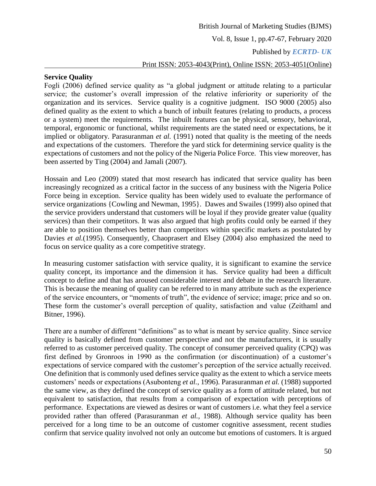# Print ISSN: 2053-4043(Print), Online ISSN: 2053-4051(Online)

# **Service Quality**

Fogli (2006) defined service quality as "a global judgment or attitude relating to a particular service; the customer's overall impression of the relative inferiority or superiority of the organization and its services. Service quality is a cognitive judgment. ISO 9000 (2005) also defined quality as the extent to which a bunch of inbuilt features (relating to products, a process or a system) meet the requirements. The inbuilt features can be physical, sensory, behavioral, temporal, ergonomic or functional, whilst requirements are the stated need or expectations, be it implied or obligatory. Parasuranman *et al.* (1991) noted that quality is the meeting of the needs and expectations of the customers. Therefore the yard stick for determining service quality is the expectations of customers and not the policy of the Nigeria Police Force. This view moreover, has been asserted by Ting (2004) and Jamali (2007).

Hossain and Leo (2009) stated that most research has indicated that service quality has been increasingly recognized as a critical factor in the success of any business with the Nigeria Police Force being in exception. Service quality has been widely used to evaluate the performance of service organizations {Cowling and Newman, 1995}. Dawes and Swailes (1999) also opined that the service providers understand that customers will be loyal if they provide greater value (quality services) than their competitors. It was also argued that high profits could only be earned if they are able to position themselves better than competitors within specific markets as postulated by Davies *et al.*(1995). Consequently, Chaoprasert and Elsey (2004) also emphasized the need to focus on service quality as a core competitive strategy.

In measuring customer satisfaction with service quality, it is significant to examine the service quality concept, its importance and the dimension it has. Service quality had been a difficult concept to define and that has aroused considerable interest and debate in the research literature. This is because the meaning of quality can be referred to in many attribute such as the experience of the service encounters, or "moments of truth", the evidence of service; image; price and so on. These form the customer's overall perception of quality, satisfaction and value (Zeithaml and Bitner, 1996).

There are a number of different "definitions" as to what is meant by service quality. Since service quality is basically defined from customer perspective and not the manufacturers, it is usually referred to as customer perceived quality. The concept of consumer perceived quality (CPQ) was first defined by Gronroos in 1990 as the confirmation (or discontinuation) of a customer's expectations of service compared with the customer's perception of the service actually received. One definition that is commonly used defines service quality as the extent to which a service meets customers' needs or expectations (Asubonteng *et al.*, 1996). Parasuranman *et al.* (1988) supported the same view, as they defined the concept of service quality as a form of attitude related, but not equivalent to satisfaction, that results from a comparison of expectation with perceptions of performance. Expectations are viewed as desires or want of customers i.e. what they feel a service provided rather than offered (Parasuranman *et al.,* 1988). Although service quality has been perceived for a long time to be an outcome of customer cognitive assessment, recent studies confirm that service quality involved not only an outcome but emotions of customers. It is argued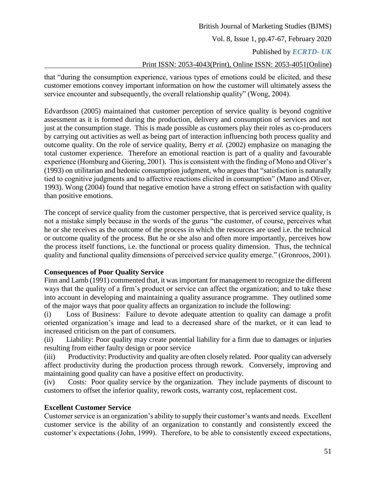# British Journal of Marketing Studies (BJMS) Vol. 8, Issue 1, pp.47-67, February 2020 Published by *ECRTD- UK*  Print ISSN: 2053-4043(Print), Online ISSN: 2053-4051(Online)

that "during the consumption experience, various types of emotions could be elicited, and these customer emotions convey important information on how the customer will ultimately assess the service encounter and subsequently, the overall relationship quality" (Wong, 2004).

Edvardsson (2005) maintained that customer perception of service quality is beyond cognitive assessment as it is formed during the production, delivery and consumption of services and not just at the consumption stage. This is made possible as customers play their roles as co-producers by carrying out activities as well as being part of interaction influencing both process quality and outcome quality. On the role of service quality, Berry *et al.* (2002) emphasize on managing the total customer experience. Therefore an emotional reaction is part of a quality and favourable experience (Homburg and Giering, 2001). This is consistent with the finding of Mono and Oliver's (1993) on utilitarian and hedonic consumption judgment, who argues that "satisfaction is naturally tied to cognitive judgments and to affective reactions elicited in consumption" (Mano and Oliver, 1993). Wong (2004) found that negative emotion have a strong effect on satisfaction with quality than positive emotions.

The concept of service quality from the customer perspective, that is perceived service quality, is not a mistake simply because in the words of the gurus "the customer, of course, perceives what he or she receives as the outcome of the process in which the resources are used i.e. the technical or outcome quality of the process. But he or she also and often more importantly, perceives how the process itself functions, i.e. the functional or process quality dimension. Thus, the technical quality and functional quality dimensions of perceived service quality emerge." (Gronroos, 2001).

# **Consequences of Poor Quality Service**

Finn and Lamb (1991) commented that, it was important for management to recognize the different ways that the quality of a firm's product or service can affect the organization; and to take these into account in developing and maintaining a quality assurance programme. They outlined some of the major ways that poor quality affects an organization to include the following:

(i) Loss of Business: Failure to devote adequate attention to quality can damage a profit oriented organization's image and lead to a decreased share of the market, or it can lead to increased criticism on the part of consumers.

(ii) Liability: Poor quality may create potential liability for a firm due to damages or injuries resulting from either faulty design or poor service

(iii) Productivity: Productivity and quality are often closely related. Poor quality can adversely affect productivity during the production process through rework. Conversely, improving and maintaining good quality can have a positive effect on productivity.

(iv) Costs: Poor quality service by the organization. They include payments of discount to customers to offset the inferior quality, rework costs, warranty cost, replacement cost.

# **Excellent Customer Service**

Customer service is an organization's ability to supply their customer's wants and needs. Excellent customer service is the ability of an organization to constantly and consistently exceed the customer's expectations (John, 1999). Therefore, to be able to consistently exceed expectations,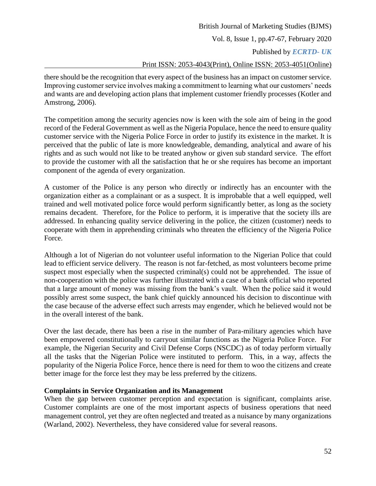# British Journal of Marketing Studies (BJMS) Vol. 8, Issue 1, pp.47-67, February 2020 Published by *ECRTD- UK*  Print ISSN: 2053-4043(Print), Online ISSN: 2053-4051(Online)

there should be the recognition that every aspect of the business has an impact on customer service. Improving customer service involves making a commitment to learning what our customers' needs and wants are and developing action plans that implement customer friendly processes (Kotler and Amstrong, 2006).

The competition among the security agencies now is keen with the sole aim of being in the good record of the Federal Government as well as the Nigeria Populace, hence the need to ensure quality customer service with the Nigeria Police Force in order to justify its existence in the market. It is perceived that the public of late is more knowledgeable, demanding, analytical and aware of his rights and as such would not like to be treated anyhow or given sub standard service. The effort to provide the customer with all the satisfaction that he or she requires has become an important component of the agenda of every organization.

A customer of the Police is any person who directly or indirectly has an encounter with the organization either as a complainant or as a suspect. It is improbable that a well equipped, well trained and well motivated police force would perform significantly better, as long as the society remains decadent. Therefore, for the Police to perform, it is imperative that the society ills are addressed. In enhancing quality service delivering in the police, the citizen (customer) needs to cooperate with them in apprehending criminals who threaten the efficiency of the Nigeria Police Force.

Although a lot of Nigerian do not volunteer useful information to the Nigerian Police that could lead to efficient service delivery. The reason is not far-fetched, as most volunteers become prime suspect most especially when the suspected criminal(s) could not be apprehended. The issue of non-cooperation with the police was further illustrated with a case of a bank official who reported that a large amount of money was missing from the bank's vault. When the police said it would possibly arrest some suspect, the bank chief quickly announced his decision to discontinue with the case because of the adverse effect such arrests may engender, which he believed would not be in the overall interest of the bank.

Over the last decade, there has been a rise in the number of Para-military agencies which have been empowered constitutionally to carryout similar functions as the Nigeria Police Force. For example, the Nigerian Security and Civil Defense Corps (NSCDC) as of today perform virtually all the tasks that the Nigerian Police were instituted to perform. This, in a way, affects the popularity of the Nigeria Police Force, hence there is need for them to woo the citizens and create better image for the force lest they may be less preferred by the citizens.

# **Complaints in Service Organization and its Management**

When the gap between customer perception and expectation is significant, complaints arise. Customer complaints are one of the most important aspects of business operations that need management control, yet they are often neglected and treated as a nuisance by many organizations (Warland, 2002). Nevertheless, they have considered value for several reasons.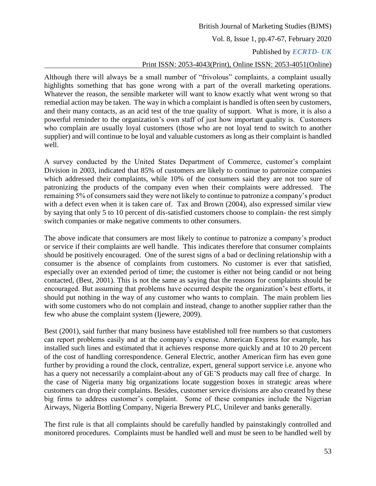Vol. 8, Issue 1, pp.47-67, February 2020

# Published by *ECRTD- UK*

## Print ISSN: 2053-4043(Print), Online ISSN: 2053-4051(Online)

Although there will always be a small number of "frivolous" complaints, a complaint usually highlights something that has gone wrong with a part of the overall marketing operations. Whatever the reason, the sensible marketer will want to know exactly what went wrong so that remedial action may be taken. The way in which a complaint is handled is often seen by customers, and their many contacts, as an acid test of the true quality of support. What is more, it is also a powerful reminder to the organization's own staff of just how important quality is. Customers who complain are usually loyal customers (those who are not loyal tend to switch to another supplier) and will continue to be loyal and valuable customers as long as their complaint is handled well.

A survey conducted by the United States Department of Commerce, customer's complaint Division in 2003, indicated that 85% of customers are likely to continue to patronize companies which addressed their complaints, while 10% of the consumers said they are not too sure of patronizing the products of the company even when their complaints were addressed. The remaining 5% of consumers said they were not likely to continue to patronize a company's product with a defect even when it is taken care of. Tax and Brown (2004), also expressed similar view by saying that only 5 to 10 percent of dis-satisfied customers choose to complain- the rest simply switch companies or make negative comments to other consumers.

The above indicate that consumers are most likely to continue to patronize a company's product or service if their complaints are well handle. This indicates therefore that consumer complaints should be positively encouraged. One of the surest signs of a bad or declining relationship with a consumer is the absence of complaints from customers. No customer is ever that satisfied, especially over an extended period of time; the customer is either not being candid or not being contacted, (Best, 2001). This is not the same as saying that the reasons for complaints should be encouraged. But assuming that problems have occurred despite the organization's best efforts, it should put nothing in the way of any customer who wants to complain. The main problem lies with some customers who do not complain and instead, change to another supplier rather than the few who abuse the complaint system (Ijewere, 2009).

Best (2001), said further that many business have established toll free numbers so that customers can report problems easily and at the company's expense. American Express for example, has installed such lines and estimated that it achieves response more quickly and at 10 to 20 percent of the cost of handling correspondence. General Electric, another American firm has even gone further by providing a round the clock, centralize, expert, general support service i.e. anyone who has a query not necessarily a complaint-about any of GE'S products may call free of charge. In the case of Nigeria many big organizations locate suggestion boxes in strategic areas where customers can drop their complaints. Besides, customer service divisions are also created by these big firms to address customer's complaint. Some of these companies include the Nigerian Airways, Nigeria Bottling Company, Nigeria Brewery PLC, Unilever and banks generally.

The first rule is that all complaints should be carefully handled by painstakingly controlled and monitored procedures. Complaints must be handled well and must be seen to be handled well by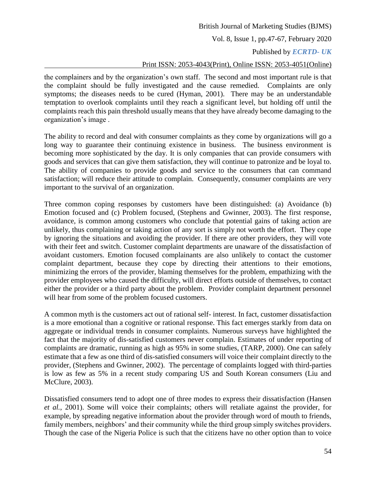Vol. 8, Issue 1, pp.47-67, February 2020

## Published by *ECRTD- UK*

# Print ISSN: 2053-4043(Print), Online ISSN: 2053-4051(Online)

the complainers and by the organization's own staff. The second and most important rule is that the complaint should be fully investigated and the cause remedied. Complaints are only symptoms; the diseases needs to be cured (Hyman, 2001). There may be an understandable temptation to overlook complaints until they reach a significant level, but holding off until the complaints reach this pain threshold usually means that they have already become damaging to the organization's image .

The ability to record and deal with consumer complaints as they come by organizations will go a long way to guarantee their continuing existence in business. The business environment is becoming more sophisticated by the day. It is only companies that can provide consumers with goods and services that can give them satisfaction, they will continue to patronize and be loyal to. The ability of companies to provide goods and service to the consumers that can command satisfaction; will reduce their attitude to complain. Consequently, consumer complaints are very important to the survival of an organization.

Three common coping responses by customers have been distinguished: (a) Avoidance (b) Emotion focused and (c) Problem focused, (Stephens and Gwinner, 2003). The first response, avoidance, is common among customers who conclude that potential gains of taking action are unlikely, thus complaining or taking action of any sort is simply not worth the effort. They cope by ignoring the situations and avoiding the provider. If there are other providers, they will vote with their feet and switch. Customer complaint departments are unaware of the dissatisfaction of avoidant customers. Emotion focused complainants are also unlikely to contact the customer complaint department, because they cope by directing their attentions to their emotions, minimizing the errors of the provider, blaming themselves for the problem, empathizing with the provider employees who caused the difficulty, will direct efforts outside of themselves, to contact either the provider or a third party about the problem. Provider complaint department personnel will hear from some of the problem focused customers.

A common myth is the customers act out of rational self- interest. In fact, customer dissatisfaction is a more emotional than a cognitive or rational response. This fact emerges starkly from data on aggregate or individual trends in consumer complaints. Numerous surveys have highlighted the fact that the majority of dis-satisfied customers never complain. Estimates of under reporting of complaints are dramatic, running as high as 95% in some studies, (TARP, 2000). One can safely estimate that a few as one third of dis-satisfied consumers will voice their complaint directly to the provider, (Stephens and Gwinner, 2002). The percentage of complaints logged with third-parties is low as few as 5% in a recent study comparing US and South Korean consumers (Liu and McClure, 2003).

Dissatisfied consumers tend to adopt one of three modes to express their dissatisfaction (Hansen *et al.*, 2001). Some will voice their complaints; others will retaliate against the provider, for example, by spreading negative information about the provider through word of mouth to friends, family members, neighbors' and their community while the third group simply switches providers. Though the case of the Nigeria Police is such that the citizens have no other option than to voice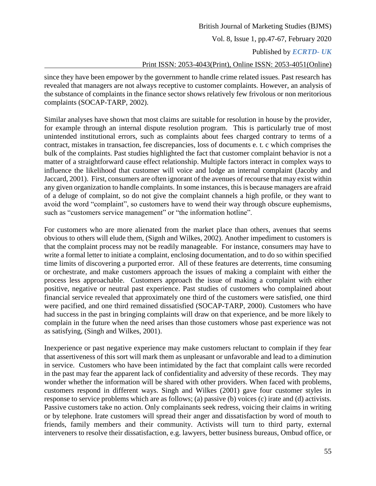# British Journal of Marketing Studies (BJMS) Vol. 8, Issue 1, pp.47-67, February 2020 Published by *ECRTD- UK*  Print ISSN: 2053-4043(Print), Online ISSN: 2053-4051(Online)

since they have been empower by the government to handle crime related issues. Past research has revealed that managers are not always receptive to customer complaints. However, an analysis of the substance of complaints in the finance sector shows relatively few frivolous or non meritorious complaints (SOCAP-TARP, 2002).

Similar analyses have shown that most claims are suitable for resolution in house by the provider, for example through an internal dispute resolution program. This is particularly true of most unintended institutional errors, such as complaints about fees charged contrary to terms of a contract, mistakes in transaction, fee discrepancies, loss of documents e. t. c which comprises the bulk of the complaints. Past studies highlighted the fact that customer complaint behavior is not a matter of a straightforward cause effect relationship. Multiple factors interact in complex ways to influence the likelihood that customer will voice and lodge an internal complaint (Jacoby and Jaccard, 2001). First, consumers are often ignorant of the avenues of recourse that may exist within any given organization to handle complaints. In some instances, this is because managers are afraid of a deluge of complaint, so do not give the complaint channels a high profile, or they want to avoid the word "complaint", so customers have to wend their way through obscure euphemisms, such as "customers service management" or "the information hotline".

For customers who are more alienated from the market place than others, avenues that seems obvious to others will elude them, (Signh and Wilkes, 2002). Another impediment to customers is that the complaint process may not be readily manageable. For instance, consumers may have to write a formal letter to initiate a complaint, enclosing documentation, and to do so within specified time limits of discovering a purported error. All of these features are deterrents, time consuming or orchestrate, and make customers approach the issues of making a complaint with either the process less approachable. Customers approach the issue of making a complaint with either positive, negative or neutral past experience. Past studies of customers who complained about financial service revealed that approximately one third of the customers were satisfied, one third were pacified, and one third remained dissatisfied (SOCAP-TARP, 2000). Customers who have had success in the past in bringing complaints will draw on that experience, and be more likely to complain in the future when the need arises than those customers whose past experience was not as satisfying, (Singh and Wilkes, 2001).

Inexperience or past negative experience may make customers reluctant to complain if they fear that assertiveness of this sort will mark them as unpleasant or unfavorable and lead to a diminution in service. Customers who have been intimidated by the fact that complaint calls were recorded in the past may fear the apparent lack of confidentiality and adversity of these records. They may wonder whether the information will be shared with other providers. When faced with problems, customers respond in different ways. Singh and Wilkes (2001) gave four customer styles in response to service problems which are as follows; (a) passive (b) voices (c) irate and (d) activists. Passive customers take no action. Only complainants seek redress, voicing their claims in writing or by telephone. Irate customers will spread their anger and dissatisfaction by word of mouth to friends, family members and their community. Activists will turn to third party, external interveners to resolve their dissatisfaction, e.g. lawyers, better business bureaus, Ombud office, or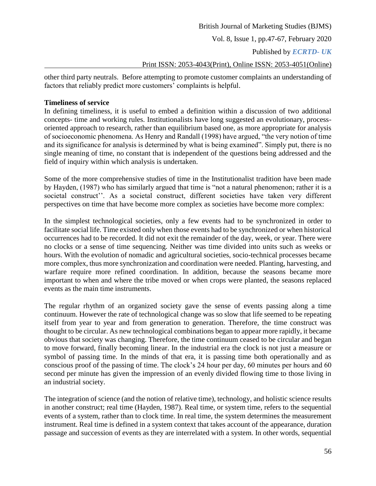Vol. 8, Issue 1, pp.47-67, February 2020

Published by *ECRTD- UK* 

#### Print ISSN: 2053-4043(Print), Online ISSN: 2053-4051(Online)

other third party neutrals. Before attempting to promote customer complaints an understanding of factors that reliably predict more customers' complaints is helpful.

#### **Timeliness of service**

In defining timeliness, it is useful to embed a definition within a discussion of two additional concepts- time and working rules. Institutionalists have long suggested an evolutionary, processoriented approach to research, rather than equilibrium based one, as more appropriate for analysis of socioeconomic phenomena. As Henry and Randall (1998) have argued, "the very notion of time and its significance for analysis is determined by what is being examined". Simply put, there is no single meaning of time, no constant that is independent of the questions being addressed and the field of inquiry within which analysis is undertaken.

Some of the more comprehensive studies of time in the Institutionalist tradition have been made by Hayden, (1987) who has similarly argued that time is "not a natural phenomenon; rather it is a societal construct''. As a societal construct, different societies have taken very different perspectives on time that have become more complex as societies have become more complex:

In the simplest technological societies, only a few events had to be synchronized in order to facilitate social life. Time existed only when those events had to be synchronized or when historical occurrences had to be recorded. It did not exit the remainder of the day, week, or year. There were no clocks or a sense of time sequencing. Neither was time divided into units such as weeks or hours. With the evolution of nomadic and agricultural societies, socio-technical processes became more complex, thus more synchronization and coordination were needed. Planting, harvesting, and warfare require more refined coordination. In addition, because the seasons became more important to when and where the tribe moved or when crops were planted, the seasons replaced events as the main time instruments.

The regular rhythm of an organized society gave the sense of events passing along a time continuum. However the rate of technological change was so slow that life seemed to be repeating itself from year to year and from generation to generation. Therefore, the time construct was thought to be circular. As new technological combinations began to appear more rapidly, it became obvious that society was changing. Therefore, the time continuum ceased to be circular and began to move forward, finally becoming linear. In the industrial era the clock is not just a measure or symbol of passing time. In the minds of that era, it is passing time both operationally and as conscious proof of the passing of time. The clock's 24 hour per day, 60 minutes per hours and 60 second per minute has given the impression of an evenly divided flowing time to those living in an industrial society.

The integration of science (and the notion of relative time), technology, and holistic science results in another construct; real time (Hayden, 1987). Real time, or system time, refers to the sequential events of a system, rather than to clock time. In real time, the system determines the measurement instrument. Real time is defined in a system context that takes account of the appearance, duration passage and succession of events as they are interrelated with a system. In other words, sequential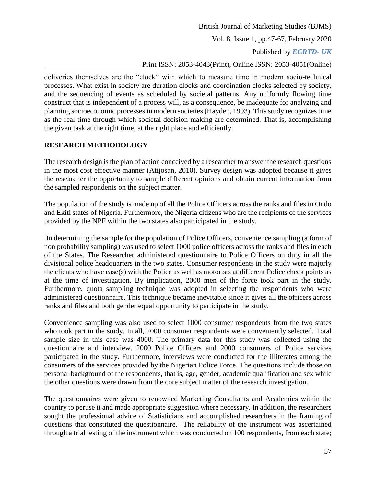# British Journal of Marketing Studies (BJMS) Vol. 8, Issue 1, pp.47-67, February 2020 Published by *ECRTD- UK*

# Print ISSN: 2053-4043(Print), Online ISSN: 2053-4051(Online)

deliveries themselves are the "clock" with which to measure time in modern socio-technical processes. What exist in society are duration clocks and coordination clocks selected by society, and the sequencing of events as scheduled by societal patterns. Any uniformly flowing time construct that is independent of a process will, as a consequence, be inadequate for analyzing and planning socioeconomic processes in modern societies (Hayden, 1993). This study recognizes time as the real time through which societal decision making are determined. That is, accomplishing the given task at the right time, at the right place and efficiently.

# **RESEARCH METHODOLOGY**

The research design is the plan of action conceived by a researcher to answer the research questions in the most cost effective manner (Atijosan, 2010). Survey design was adopted because it gives the researcher the opportunity to sample different opinions and obtain current information from the sampled respondents on the subject matter.

The population of the study is made up of all the Police Officers across the ranks and files in Ondo and Ekiti states of Nigeria. Furthermore, the Nigeria citizens who are the recipients of the services provided by the NPF within the two states also participated in the study.

In determining the sample for the population of Police Officers, convenience sampling (a form of non probability sampling) was used to select 1000 police officers across the ranks and files in each of the States. The Researcher administered questionnaire to Police Officers on duty in all the divisional police headquarters in the two states. Consumer respondents in the study were majorly the clients who have case(s) with the Police as well as motorists at different Police check points as at the time of investigation. By implication, 2000 men of the force took part in the study. Furthermore, quota sampling technique was adopted in selecting the respondents who were administered questionnaire. This technique became inevitable since it gives all the officers across ranks and files and both gender equal opportunity to participate in the study.

Convenience sampling was also used to select 1000 consumer respondents from the two states who took part in the study. In all, 2000 consumer respondents were conveniently selected. Total sample size in this case was 4000. The primary data for this study was collected using the questionnaire and interview. 2000 Police Officers and 2000 consumers of Police services participated in the study. Furthermore, interviews were conducted for the illiterates among the consumers of the services provided by the Nigerian Police Force. The questions include those on personal background of the respondents, that is, age, gender, academic qualification and sex while the other questions were drawn from the core subject matter of the research investigation.

The questionnaires were given to renowned Marketing Consultants and Academics within the country to peruse it and made appropriate suggestion where necessary. In addition, the researchers sought the professional advice of Statisticians and accomplished researchers in the framing of questions that constituted the questionnaire. The reliability of the instrument was ascertained through a trial testing of the instrument which was conducted on 100 respondents, from each state;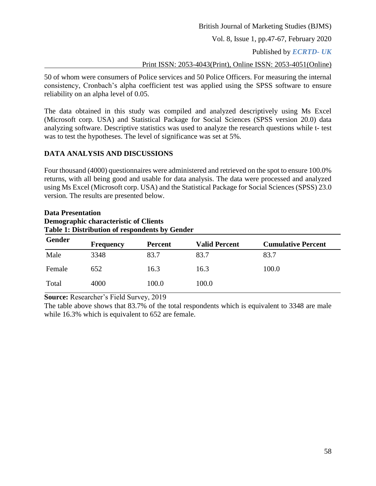Vol. 8, Issue 1, pp.47-67, February 2020

Published by *ECRTD- UK* 

Print ISSN: 2053-4043(Print), Online ISSN: 2053-4051(Online)

50 of whom were consumers of Police services and 50 Police Officers. For measuring the internal consistency, Cronbach's alpha coefficient test was applied using the SPSS software to ensure reliability on an alpha level of 0.05.

The data obtained in this study was compiled and analyzed descriptively using Ms Excel (Microsoft corp. USA) and Statistical Package for Social Sciences (SPSS version 20.0) data analyzing software. Descriptive statistics was used to analyze the research questions while t- test was to test the hypotheses. The level of significance was set at 5%.

# **DATA ANALYSIS AND DISCUSSIONS**

Four thousand (4000) questionnaires were administered and retrieved on the spot to ensure 100.0% returns, with all being good and usable for data analysis. The data were processed and analyzed using Ms Excel (Microsoft corp. USA) and the Statistical Package for Social Sciences (SPSS) 23.0 version. The results are presented below.

# **Data Presentation Demographic characteristic of Clients Table 1: Distribution of respondents by Gender**

| Gender | <b>Frequency</b> | <b>Percent</b> | <b>Valid Percent</b> | <b>Cumulative Percent</b> |
|--------|------------------|----------------|----------------------|---------------------------|
| Male   | 3348             | 83.7           | 83.7                 | 83.7                      |
| Female | 652              | 16.3           | 16.3                 | 100.0                     |
| Total  | 4000             | 100.0          | 100.0                |                           |

**Source:** Researcher's Field Survey, 2019

The table above shows that 83.7% of the total respondents which is equivalent to 3348 are male while 16.3% which is equivalent to 652 are female.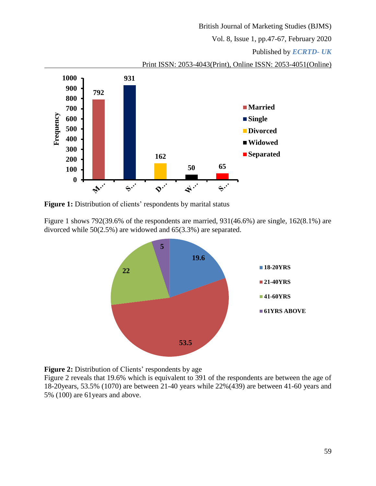Vol. 8, Issue 1, pp.47-67, February 2020

# Published by *ECRTD- UK*





Figure 1: Distribution of clients' respondents by marital status

Figure 1 shows 792(39.6% of the respondents are married, 931(46.6%) are single, 162(8.1%) are divorced while 50(2.5%) are widowed and 65(3.3%) are separated.





Figure 2 reveals that 19.6% which is equivalent to 391 of the respondents are between the age of 18-20years, 53.5% (1070) are between 21-40 years while 22%(439) are between 41-60 years and 5% (100) are 61years and above.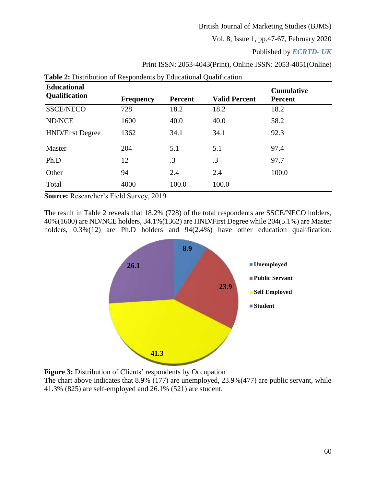Vol. 8, Issue 1, pp.47-67, February 2020

Published by *ECRTD- UK* 

| <b>Table 2:</b> Distribution of Respondents by Educational Qualification |                  |                |                      |                                     |  |  |
|--------------------------------------------------------------------------|------------------|----------------|----------------------|-------------------------------------|--|--|
| <b>Educational</b><br><b>Qualification</b>                               | <b>Frequency</b> | <b>Percent</b> | <b>Valid Percent</b> | <b>Cumulative</b><br><b>Percent</b> |  |  |
| <b>SSCE/NECO</b>                                                         | 728              | 18.2           | 18.2                 | 18.2                                |  |  |
| <b>ND/NCE</b>                                                            | 1600             | 40.0           | 40.0                 | 58.2                                |  |  |
| <b>HND/First Degree</b>                                                  | 1362             | 34.1           | 34.1                 | 92.3                                |  |  |
| Master                                                                   | 204              | 5.1            | 5.1                  | 97.4                                |  |  |
| Ph.D                                                                     | 12               | .3             | .3                   | 97.7                                |  |  |
| Other                                                                    | 94               | 2.4            | 2.4                  | 100.0                               |  |  |
| Total                                                                    | 4000             | 100.0          | 100.0                |                                     |  |  |

Print ISSN: 2053-4043(Print), Online ISSN: 2053-4051(Online)

**Source:** Researcher's Field Survey, 2019

The result in Table 2 reveals that 18.2% (728) of the total respondents are SSCE/NECO holders, 40%(1600) are ND/NCE holders, 34.1%(1362) are HND/First Degree while 204(5.1%) are Master holders,  $0.3\%(12)$  are Ph.D holders and  $94(2.4\%)$  have other education qualification.



**Figure 3:** Distribution of Clients' respondents by Occupation

The chart above indicates that 8.9% (177) are unemployed, 23.9%(477) are public servant, while 41.3% (825) are self-employed and 26.1% (521) are student.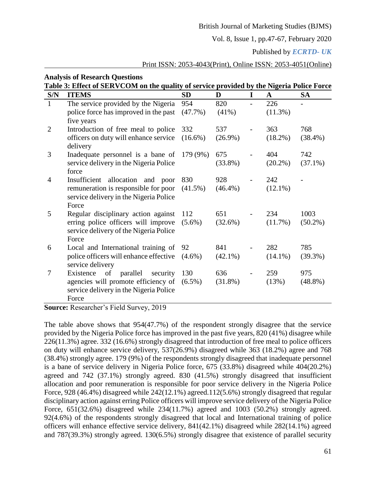Vol. 8, Issue 1, pp.47-67, February 2020

Published by *ECRTD- UK* 

# Print ISSN: 2053-4043(Print), Online ISSN: 2053-4051(Online)

|                | <b>Analysis of Research Questions</b><br>Table 3: Effect of SERVCOM on the quality of service provided by the Nigeria Police Force |            |            |   |            |            |
|----------------|------------------------------------------------------------------------------------------------------------------------------------|------------|------------|---|------------|------------|
| S/N            | <b>ITEMS</b>                                                                                                                       | <b>SD</b>  | D          | I | A          | <b>SA</b>  |
| $\mathbf{1}$   | The service provided by the Nigeria                                                                                                | 954        | 820        |   | 226        |            |
|                | police force has improved in the past<br>five years                                                                                | $(47.7\%)$ | $(41\%)$   |   | $(11.3\%)$ |            |
| $\overline{2}$ | Introduction of free meal to police                                                                                                | 332        | 537        |   | 363        | 768        |
|                | officers on duty will enhance service<br>delivery                                                                                  | $(16.6\%)$ | $(26.9\%)$ |   | $(18.2\%)$ | $(38.4\%)$ |
| 3              | Inadequate personnel is a bane of                                                                                                  | 179 (9%)   | 675        |   | 404        | 742        |
|                | service delivery in the Nigeria Police<br>force                                                                                    |            | $(33.8\%)$ |   | $(20.2\%)$ | $(37.1\%)$ |
| $\overline{4}$ | Insufficient allocation and poor                                                                                                   | 830        | 928        |   | 242        |            |
|                | remuneration is responsible for poor<br>service delivery in the Nigeria Police<br>Force                                            | $(41.5\%)$ | $(46.4\%)$ |   | $(12.1\%)$ |            |
| 5              | Regular disciplinary action against                                                                                                | 112        | 651        |   | 234        | 1003       |
|                | erring police officers will improve<br>service delivery of the Nigeria Police<br>Force                                             | $(5.6\%)$  | (32.6%)    |   | (11.7%)    | $(50.2\%)$ |
| 6              | Local and International training of                                                                                                | 92         | 841        |   | 282        | 785        |
|                | police officers will enhance effective                                                                                             | $(4.6\%)$  | $(42.1\%)$ |   | $(14.1\%)$ | $(39.3\%)$ |
|                | service delivery                                                                                                                   |            |            |   |            |            |
| 7              | parallel<br>Existence<br>of<br>security                                                                                            | 130        | 636        |   | 259        | 975        |
|                | agencies will promote efficiency of<br>service delivery in the Nigeria Police<br>Force                                             | $(6.5\%)$  | $(31.8\%)$ |   | (13%)      | $(48.8\%)$ |

**Source:** Researcher's Field Survey, 2019

The table above shows that 954(47.7%) of the respondent strongly disagree that the service provided by the Nigeria Police force has improved in the past five years, 820 (41%) disagree while 226(11.3%) agree. 332 (16.6%) strongly disagreed that introduction of free meal to police officers on duty will enhance service delivery, 537(26.9%) disagreed while 363 (18.2%) agree and 768 (38.4%) strongly agree. 179 (9%) of the respondents strongly disagreed that inadequate personnel is a bane of service delivery in Nigeria Police force, 675 (33.8%) disagreed while 404(20.2%) agreed and 742 (37.1%) strongly agreed. 830 (41.5%) strongly disagreed that insufficient allocation and poor remuneration is responsible for poor service delivery in the Nigeria Police Force, 928 (46.4%) disagreed while 242(12.1%) agreed.112(5.6%) strongly disagreed that regular disciplinary action against erring Police officers will improve service delivery of the Nigeria Police Force, 651(32.6%) disagreed while 234(11.7%) agreed and 1003 (50.2%) strongly agreed. 92(4.6%) of the respondents strongly disagreed that local and International training of police officers will enhance effective service delivery, 841(42.1%) disagreed while 282(14.1%) agreed and 787(39.3%) strongly agreed. 130(6.5%) strongly disagree that existence of parallel security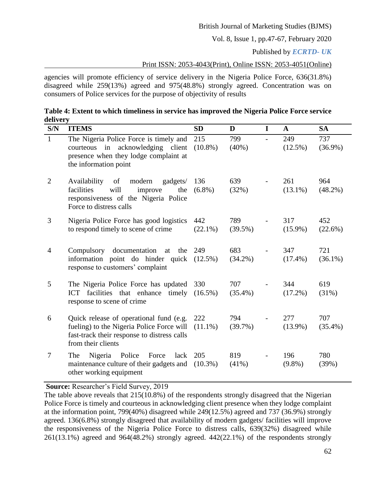Vol. 8, Issue 1, pp.47-67, February 2020

Published by *ECRTD- UK* 

Print ISSN: 2053-4043(Print), Online ISSN: 2053-4051(Online)

agencies will promote efficiency of service delivery in the Nigeria Police Force, 636(31.8%) disagreed while 259(13%) agreed and 975(48.8%) strongly agreed. Concentration was on consumers of Police services for the purpose of objectivity of results

| Table 4: Extent to which timeliness in service has improved the Nigeria Police Force service |  |
|----------------------------------------------------------------------------------------------|--|
| delivery                                                                                     |  |

| S/N            | <b>ITEMS</b>                                                                                                                                              | <b>SD</b>         | D                 | I | $\mathbf{A}$      | <b>SA</b>         |
|----------------|-----------------------------------------------------------------------------------------------------------------------------------------------------------|-------------------|-------------------|---|-------------------|-------------------|
| $\mathbf{1}$   | The Nigeria Police Force is timely and<br>in acknowledging client<br>courteous<br>presence when they lodge complaint at<br>the information point          | 215<br>$(10.8\%)$ | 799<br>$(40\%)$   |   | 249<br>$(12.5\%)$ | 737<br>$(36.9\%)$ |
| $\overline{2}$ | of<br>Availability<br>modern<br>gadgets/<br>will<br>facilities<br>improve<br>the<br>responsiveness of the Nigeria Police<br>Force to distress calls       | 136<br>$(6.8\%)$  | 639<br>(32%)      |   | 261<br>$(13.1\%)$ | 964<br>$(48.2\%)$ |
| 3              | Nigeria Police Force has good logistics<br>to respond timely to scene of crime                                                                            | 442<br>$(22.1\%)$ | 789<br>$(39.5\%)$ |   | 317<br>$(15.9\%)$ | 452<br>$(22.6\%)$ |
| 4              | Compulsory documentation<br>at<br>the<br>information point do hinder quick (12.5%)<br>response to customers' complaint                                    | 249               | 683<br>$(34.2\%)$ |   | 347<br>$(17.4\%)$ | 721<br>$(36.1\%)$ |
| 5              | The Nigeria Police Force has updated<br>ICT facilities that enhance timely (16.5%)<br>response to scene of crime                                          | 330               | 707<br>$(35.4\%)$ |   | 344<br>$(17.2\%)$ | 619<br>(31%)      |
| 6              | Quick release of operational fund (e.g.<br>fueling) to the Nigeria Police Force will<br>fast-track their response to distress calls<br>from their clients | 222<br>$(11.1\%)$ | 794<br>$(39.7\%)$ |   | 277<br>$(13.9\%)$ | 707<br>$(35.4\%)$ |
| 7              | Nigeria<br>Police<br>Force<br>lack<br>The<br>maintenance culture of their gadgets and<br>other working equipment                                          | 205<br>$(10.3\%)$ | 819<br>$(41\%)$   |   | 196<br>$(9.8\%)$  | 780<br>(39%)      |

**Source:** Researcher's Field Survey, 2019

The table above reveals that 215(10.8%) of the respondents strongly disagreed that the Nigerian Police Force is timely and courteous in acknowledging client presence when they lodge complaint at the information point, 799(40%) disagreed while 249(12.5%) agreed and 737 (36.9%) strongly agreed. 136(6.8%) strongly disagreed that availability of modern gadgets/ facilities will improve the responsiveness of the Nigeria Police Force to distress calls, 639(32%) disagreed while 261(13.1%) agreed and 964(48.2%) strongly agreed. 442(22.1%) of the respondents strongly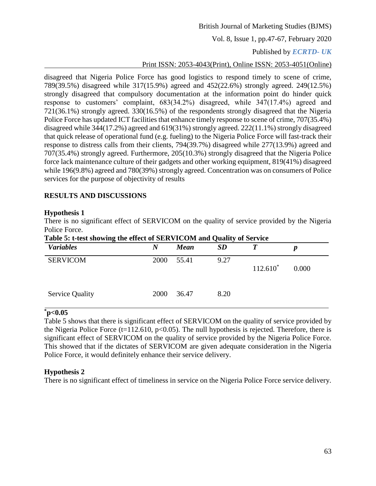Vol. 8, Issue 1, pp.47-67, February 2020

# Published by *ECRTD- UK*

# Print ISSN: 2053-4043(Print), Online ISSN: 2053-4051(Online)

disagreed that Nigeria Police Force has good logistics to respond timely to scene of crime, 789(39.5%) disagreed while 317(15.9%) agreed and 452(22.6%) strongly agreed. 249(12.5%) strongly disagreed that compulsory documentation at the information point do hinder quick response to customers' complaint, 683(34.2%) disagreed, while 347(17.4%) agreed and 721(36.1%) strongly agreed. 330(16.5%) of the respondents strongly disagreed that the Nigeria Police Force has updated ICT facilities that enhance timely response to scene of crime, 707(35.4%) disagreed while 344(17.2%) agreed and 619(31%) strongly agreed. 222(11.1%) strongly disagreed that quick release of operational fund (e.g. fueling) to the Nigeria Police Force will fast-track their response to distress calls from their clients, 794(39.7%) disagreed while 277(13.9%) agreed and 707(35.4%) strongly agreed. Furthermore, 205(10.3%) strongly disagreed that the Nigeria Police force lack maintenance culture of their gadgets and other working equipment, 819(41%) disagreed while 196(9.8%) agreed and 780(39%) strongly agreed. Concentration was on consumers of Police services for the purpose of objectivity of results

# **RESULTS AND DISCUSSIONS**

## **Hypothesis 1**

There is no significant effect of SERVICOM on the quality of service provided by the Nigeria Police Force.

| Table 5: t-test showing the effect of SERVICOM and Quanty of Service<br><b>Variables</b> | N    | <b>Mean</b> | <b>SD</b> |             | р     |
|------------------------------------------------------------------------------------------|------|-------------|-----------|-------------|-------|
| <b>SERVICOM</b>                                                                          | 2000 | 55.41       | 9.27      | $112.610^*$ | 0.000 |
| <b>Service Quality</b>                                                                   | 2000 | 36.47       | 8.20      |             |       |

# **Table 5: t-test showing the effect of SERVICOM and Quality of Service**

## **\*p<0.05**

Table 5 shows that there is significant effect of SERVICOM on the quality of service provided by the Nigeria Police Force  $(t=112.610, p<0.05)$ . The null hypothesis is rejected. Therefore, there is significant effect of SERVICOM on the quality of service provided by the Nigeria Police Force. This showed that if the dictates of SERVICOM are given adequate consideration in the Nigeria Police Force, it would definitely enhance their service delivery.

## **Hypothesis 2**

There is no significant effect of timeliness in service on the Nigeria Police Force service delivery.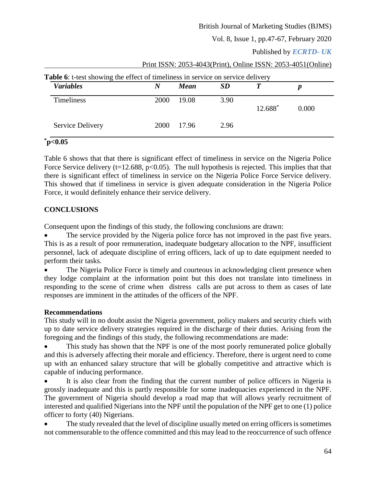Vol. 8, Issue 1, pp.47-67, February 2020

# Published by *ECRTD- UK*

| <b>Variables</b>  | N    | Mean   | <b>SD</b> |         |       |
|-------------------|------|--------|-----------|---------|-------|
| <b>Timeliness</b> | 2000 | 19.08  | 3.90      | 12.688* | 0.000 |
| Service Delivery  | 2000 | -17.96 | 2.96      |         |       |

#### Print ISSN: 2053-4043(Print), Online ISSN: 2053-4051(Online)

# **\*p<0.05**

Table 6 shows that that there is significant effect of timeliness in service on the Nigeria Police Force Service delivery ( $t=12.688$ ,  $p<0.05$ ). The null hypothesis is rejected. This implies that that there is significant effect of timeliness in service on the Nigeria Police Force Service delivery. This showed that if timeliness in service is given adequate consideration in the Nigeria Police Force, it would definitely enhance their service delivery.

# **CONCLUSIONS**

Consequent upon the findings of this study, the following conclusions are drawn:

 The service provided by the Nigeria police force has not improved in the past five years. This is as a result of poor remuneration, inadequate budgetary allocation to the NPF, insufficient personnel, lack of adequate discipline of erring officers, lack of up to date equipment needed to perform their tasks.

 The Nigeria Police Force is timely and courteous in acknowledging client presence when they lodge complaint at the information point but this does not translate into timeliness in responding to the scene of crime when distress calls are put across to them as cases of late responses are imminent in the attitudes of the officers of the NPF.

# **Recommendations**

This study will in no doubt assist the Nigeria government, policy makers and security chiefs with up to date service delivery strategies required in the discharge of their duties. Arising from the foregoing and the findings of this study, the following recommendations are made:

 This study has shown that the NPF is one of the most poorly remunerated police globally and this is adversely affecting their morale and efficiency. Therefore, there is urgent need to come up with an enhanced salary structure that will be globally competitive and attractive which is capable of inducing performance.

 It is also clear from the finding that the current number of police officers in Nigeria is grossly inadequate and this is partly responsible for some inadequacies experienced in the NPF. The government of Nigeria should develop a road map that will allows yearly recruitment of interested and qualified Nigerians into the NPF until the population of the NPF get to one (1) police officer to forty (40) Nigerians.

 The study revealed that the level of discipline usually meted on erring officers is sometimes not commensurable to the offence committed and this may lead to the reoccurrence of such offence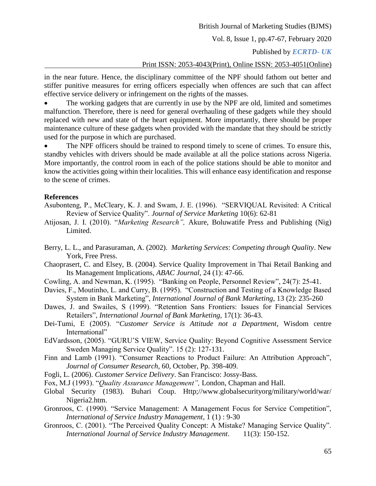Vol. 8, Issue 1, pp.47-67, February 2020

## Published by *ECRTD- UK*

#### Print ISSN: 2053-4043(Print), Online ISSN: 2053-4051(Online)

in the near future. Hence, the disciplinary committee of the NPF should fathom out better and stiffer punitive measures for erring officers especially when offences are such that can affect effective service delivery or infringement on the rights of the masses.

 The working gadgets that are currently in use by the NPF are old, limited and sometimes malfunction. Therefore, there is need for general overhauling of these gadgets while they should replaced with new and state of the heart equipment. More importantly, there should be proper maintenance culture of these gadgets when provided with the mandate that they should be strictly used for the purpose in which are purchased.

 The NPF officers should be trained to respond timely to scene of crimes. To ensure this, standby vehicles with drivers should be made available at all the police stations across Nigeria. More importantly, the control room in each of the police stations should be able to monitor and know the activities going within their localities. This will enhance easy identification and response to the scene of crimes.

#### **References**

- Asubonteng, P., McCleary, K. J. and Swam, J. E. (1996). "SERVIQUAL Revisited: A Critical Review of Service Quality". *Journal of Service Marketing* 10(6): 62-81
- Atijosan, J. I. (2010). "*Marketing Research",* Akure, Boluwatife Press and Publishing (Nig) Limited.
- Berry, L. L., and Parasuraman, A. (2002). *Marketing Services*: *Competing through Quality*. New York, Free Press.
- Chaoprasert, C. and Elsey, B. (2004). Service Quality Improvement in Thai Retail Banking and Its Management Implications, *ABAC Journal*, 24 (1): 47-66.
- Cowling, A. and Newman, K. (1995). "Banking on People, Personnel Review", 24(7): 25-41.
- Davies, F., Moutinho, L. and Curry, B. (1995). "Construction and Testing of a Knowledge Based System in Bank Marketing", *International Journal of Bank Marketing*, 13 (2): 235-260
- Dawes, J. and Swailes, S (1999). "Retention Sans Frontiers: Issues for Financial Services Retailers", *International Journal of Bank Marketing,* 17(1): 36-43.
- Dei-Tumi, E (2005). "*Customer Service is Attitude not a Department*, Wisdom centre International"
- EdVardsson, (2005). "GURU'S VIEW, Service Quality: Beyond Cognitive Assessment Service Sweden Managing Service Quality". 15 (2): 127-131.
- Finn and Lamb (1991). "Consumer Reactions to Product Failure: An Attribution Approach", *Journal of Consumer Research*, 60, October, Pp. 398-409.
- Fogli, L. (2006). *Customer Service Delivery*. San Francisco: Jossy-Bass.
- Fox, M.J (1993). "*Quality Assurance Management",* London, Chapman and Hall.
- Global Security (1983). Buhari Coup. Http;//www.globalsecurityorg/military/world/war/ Nigeria2.htm.
- Gronroos, C. (1990). "Service Management: A Management Focus for Service Competition", *International of Service Industry Management*, 1 (1) : 9-30
- Gronroos, C. (2001). "The Perceived Quality Concept: A Mistake? Managing Service Quality". *International Journal of Service Industry Management*. 11(3): 150-152.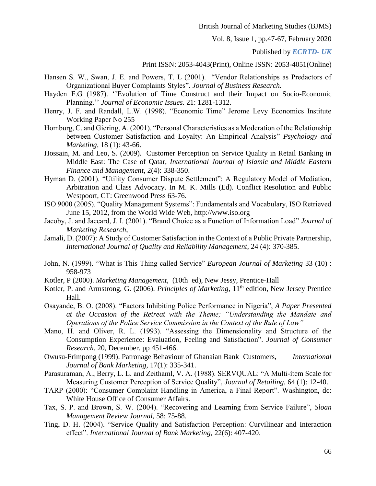Vol. 8, Issue 1, pp.47-67, February 2020

#### Published by *ECRTD- UK*

#### Print ISSN: 2053-4043(Print), Online ISSN: 2053-4051(Online)

- Hansen S. W., Swan, J. E. and Powers, T. L (2001). "Vendor Relationships as Predactors of Organizational Buyer Complaints Styles". *Journal of Business Research.*
- Hayden F.G (1987). ''Evolution of Time Construct and their Impact on Socio-Economic Planning.'' *Journal of Economic Issues.* 21: 1281-1312.
- Henry, J. F. and Randall, L.W. (1998). "Economic Time" Jerome Levy Economics Institute Working Paper No 255
- Homburg, C. and Giering, A. (2001). "Personal Characteristics as a Moderation of the Relationship between Customer Satisfaction and Loyalty: An Empirical Analysis" *Psychology and Marketing*, 18 (1): 43-66.
- Hossain, M. and Leo, S. (2009). Customer Perception on Service Quality in Retail Banking in Middle East: The Case of Qatar, *International Journal of Islamic and Middle Eastern Finance and Management,* 2(4): 338-350.
- Hyman D. (2001). "Utility Consumer Dispute Settlement": A Regulatory Model of Mediation, Arbitration and Class Advocacy. In M. K. Mills (Ed). Conflict Resolution and Public Westpoort, CT: Greenwood Press 63-76.
- ISO 9000 (2005). "Quality Management Systems": Fundamentals and Vocabulary, ISO Retrieved June 15, 2012, from the World Wide Web, [http://www.iso.org](http://www.iso.org/)
- Jacoby, J. and Jaccard, J. I. (2001). "Brand Choice as a Function of Information Load" *Journal of Marketing Research*,
- Jamali, D. (2007): A Study of Customer Satisfaction in the Context of a Public Private Partnership, *International Journal of Quality and Reliability Management*, 24 (4): 370-385.
- John, N. (1999). "What is This Thing called Service" *European Journal of Marketing* 33 (10) : 958-973
- Kotler, P (2000). *Marketing Management,* (10th ed), New Jessy, Prentice-Hall
- Kotler, P. and Armstrong, G. (2006). *Principles of Marketing*, 11<sup>th</sup> edition, New Jersey Prentice Hall.
- Osayande, B. O. (2008). "Factors Inhibiting Police Performance in Nigeria", *A Paper Presented at the Occasion of the Retreat with the Theme; "Understanding the Mandate and Operations of the Police Service Commission in the Context of the Rule of Law"*
- Mano, H. and Oliver, R. L. (1993). "Assessing the Dimensionality and Structure of the Consumption Experience: Evaluation, Feeling and Satisfaction". *Journal of Consumer Research*. 20, December. pp 451-466.
- Owusu-Frimpong (1999). Patronage Behaviour of Ghanaian Bank Customers, *International Journal of Bank Marketing,* 17(1): 335-341.
- Parasuraman, A., Berry, L. L. and Zeithaml, V. A. (1988). SERVQUAL: "A Multi-item Scale for Measuring Customer Perception of Service Quality", *Journal of Retailing,* 64 (1): 12-40.
- TARP (2000): "Consumer Complaint Handling in America, a Final Report". Washington, dc: White House Office of Consumer Affairs.
- Tax, S. P. and Brown, S. W. (2004). "Recovering and Learning from Service Failure", *Sloan Management Review Journal,* 58: 75-88.
- Ting, D. H. (2004). "Service Quality and Satisfaction Perception: Curvilinear and Interaction effect". *International Journal of Bank Marketing,* 22(6): 407-420.